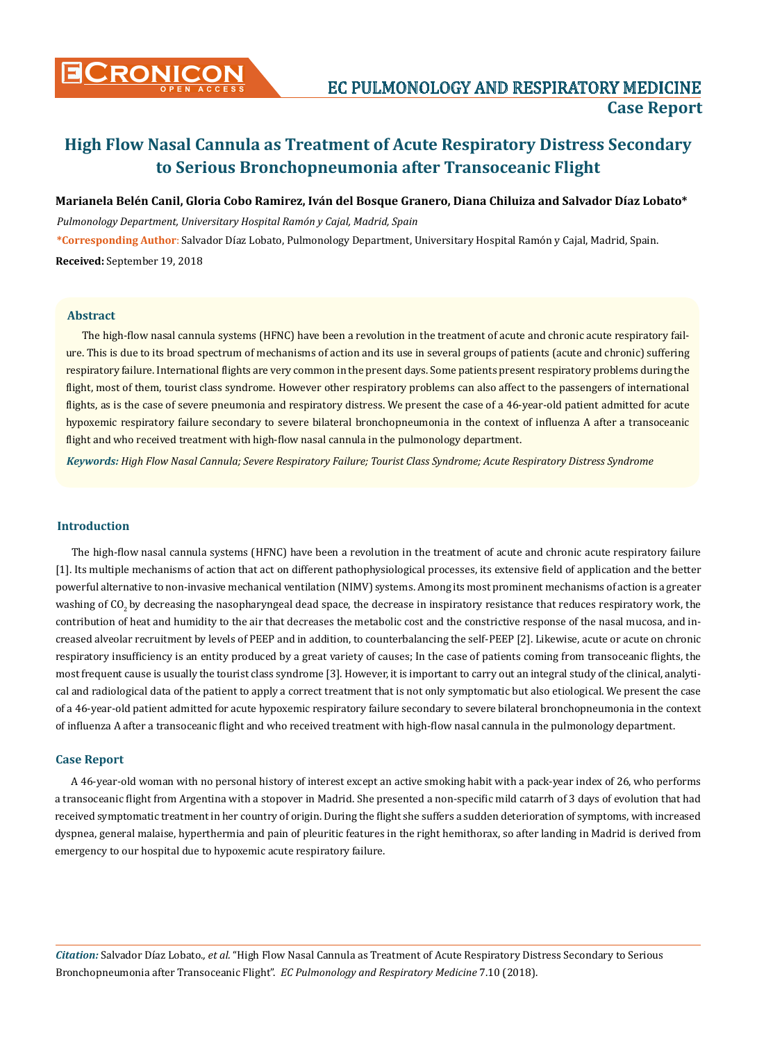

#### **Marianela Belén Canil, Gloria Cobo Ramirez, Iván del Bosque Granero, Diana Chiluiza and Salvador Díaz Lobato\***

*Pulmonology Department, Universitary Hospital Ramón y Cajal, Madrid, Spain* **\*Corresponding Author**: Salvador Díaz Lobato, Pulmonology Department, Universitary Hospital Ramón y Cajal, Madrid, Spain. **Received:** September 19, 2018

#### **Abstract**

The high-flow nasal cannula systems (HFNC) have been a revolution in the treatment of acute and chronic acute respiratory failure. This is due to its broad spectrum of mechanisms of action and its use in several groups of patients (acute and chronic) suffering respiratory failure. International flights are very common in the present days. Some patients present respiratory problems during the flight, most of them, tourist class syndrome. However other respiratory problems can also affect to the passengers of international flights, as is the case of severe pneumonia and respiratory distress. We present the case of a 46-year-old patient admitted for acute hypoxemic respiratory failure secondary to severe bilateral bronchopneumonia in the context of influenza A after a transoceanic flight and who received treatment with high-flow nasal cannula in the pulmonology department.

*Keywords: High Flow Nasal Cannula; Severe Respiratory Failure; Tourist Class Syndrome; Acute Respiratory Distress Syndrome*

#### **Introduction**

The high-flow nasal cannula systems (HFNC) have been a revolution in the treatment of acute and chronic acute respiratory failure [1]. Its multiple mechanisms of action that act on different pathophysiological processes, its extensive field of application and the better powerful alternative to non-invasive mechanical ventilation (NIMV) systems. Among its most prominent mechanisms of action is a greater washing of CO<sub>2</sub> by decreasing the nasopharyngeal dead space, the decrease in inspiratory resistance that reduces respiratory work, the contribution of heat and humidity to the air that decreases the metabolic cost and the constrictive response of the nasal mucosa, and increased alveolar recruitment by levels of PEEP and in addition, to counterbalancing the self-PEEP [2]. Likewise, acute or acute on chronic respiratory insufficiency is an entity produced by a great variety of causes; In the case of patients coming from transoceanic flights, the most frequent cause is usually the tourist class syndrome [3]. However, it is important to carry out an integral study of the clinical, analytical and radiological data of the patient to apply a correct treatment that is not only symptomatic but also etiological. We present the case of a 46-year-old patient admitted for acute hypoxemic respiratory failure secondary to severe bilateral bronchopneumonia in the context of influenza A after a transoceanic flight and who received treatment with high-flow nasal cannula in the pulmonology department.

### **Case Report**

A 46-year-old woman with no personal history of interest except an active smoking habit with a pack-year index of 26, who performs a transoceanic flight from Argentina with a stopover in Madrid. She presented a non-specific mild catarrh of 3 days of evolution that had received symptomatic treatment in her country of origin. During the flight she suffers a sudden deterioration of symptoms, with increased dyspnea, general malaise, hyperthermia and pain of pleuritic features in the right hemithorax, so after landing in Madrid is derived from emergency to our hospital due to hypoxemic acute respiratory failure.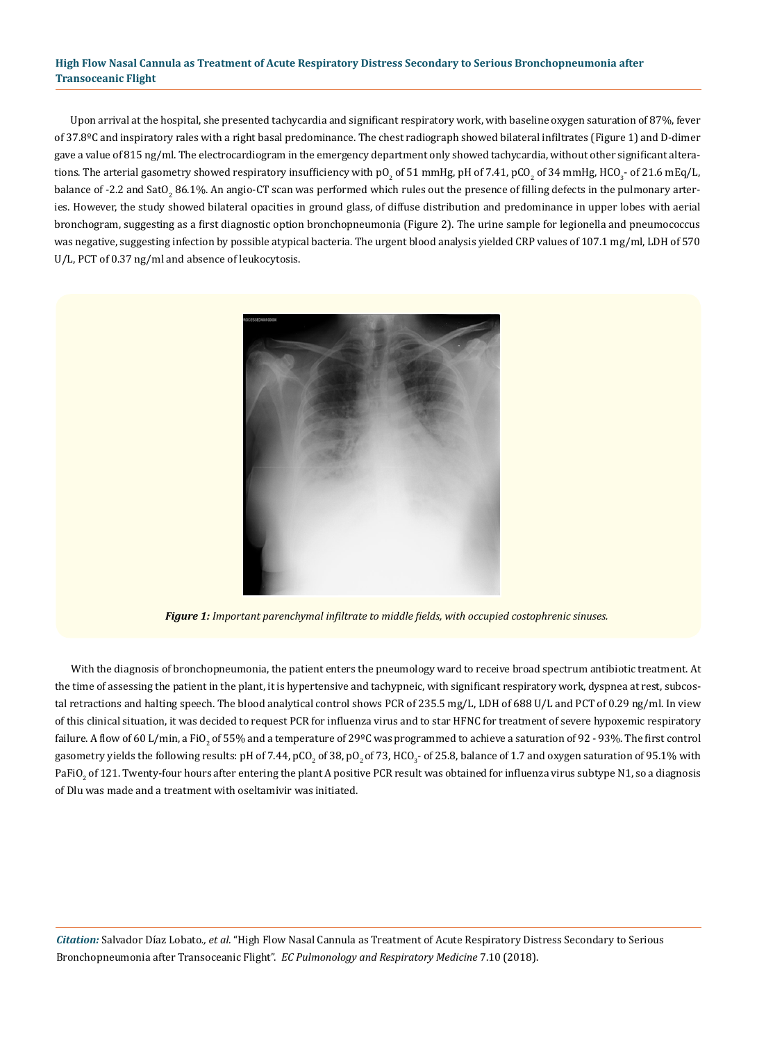Upon arrival at the hospital, she presented tachycardia and significant respiratory work, with baseline oxygen saturation of 87%, fever of 37.8ºC and inspiratory rales with a right basal predominance. The chest radiograph showed bilateral infiltrates (Figure 1) and D-dimer gave a value of 815 ng/ml. The electrocardiogram in the emergency department only showed tachycardia, without other significant alterations. The arterial gasometry showed respiratory insufficiency with pO<sub>2</sub> of 51 mmHg, pH of 7.41, pCO<sub>2</sub> of 34 mmHg, HCO<sub>3</sub>- of 21.6 mEq/L, balance of -2.2 and SatO<sub>2</sub> 86.1%. An angio-CT scan was performed which rules out the presence of filling defects in the pulmonary arteries. However, the study showed bilateral opacities in ground glass, of diffuse distribution and predominance in upper lobes with aerial bronchogram, suggesting as a first diagnostic option bronchopneumonia (Figure 2). The urine sample for legionella and pneumococcus was negative, suggesting infection by possible atypical bacteria. The urgent blood analysis yielded CRP values of 107.1 mg/ml, LDH of 570 U/L, PCT of 0.37 ng/ml and absence of leukocytosis.



*Figure 1: Important parenchymal infiltrate to middle fields, with occupied costophrenic sinuses.*

With the diagnosis of bronchopneumonia, the patient enters the pneumology ward to receive broad spectrum antibiotic treatment. At the time of assessing the patient in the plant, it is hypertensive and tachypneic, with significant respiratory work, dyspnea at rest, subcostal retractions and halting speech. The blood analytical control shows PCR of 235.5 mg/L, LDH of 688 U/L and PCT of 0.29 ng/ml. In view of this clinical situation, it was decided to request PCR for influenza virus and to star HFNC for treatment of severe hypoxemic respiratory failure. A flow of 60 L/min, a FiO<sub>2</sub> of 55% and a temperature of 29ºC was programmed to achieve a saturation of 92 - 93%. The first control gasometry yields the following results: pH of 7.44, pCO<sub>2</sub> of 38, pO<sub>2</sub> of 73, HCO<sub>3</sub>- of 25.8, balance of 1.7 and oxygen saturation of 95.1% with PaFiO $_2$  of 121. Twenty-four hours after entering the plant A positive PCR result was obtained for influenza virus subtype N1, so a diagnosis of Dlu was made and a treatment with oseltamivir was initiated.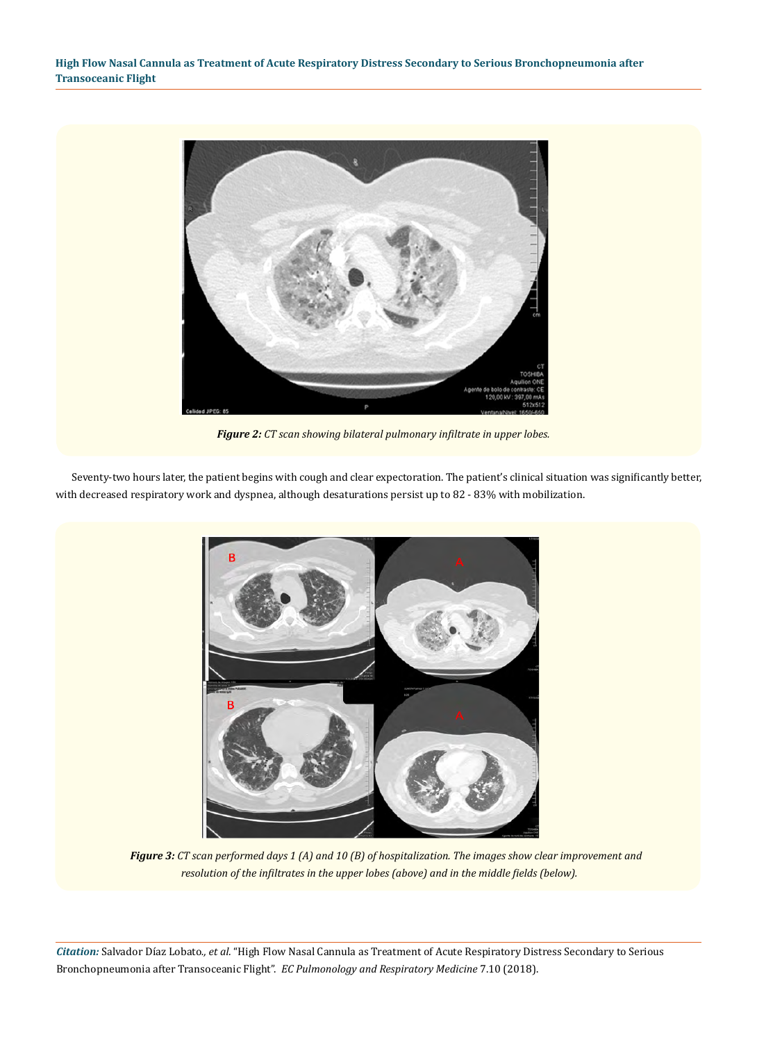

*Figure 2: CT scan showing bilateral pulmonary infiltrate in upper lobes.*

Seventy-two hours later, the patient begins with cough and clear expectoration. The patient's clinical situation was significantly better, with decreased respiratory work and dyspnea, although desaturations persist up to 82 - 83% with mobilization.



*Figure 3: CT scan performed days 1 (A) and 10 (B) of hospitalization. The images show clear improvement and resolution of the infiltrates in the upper lobes (above) and in the middle fields (below).*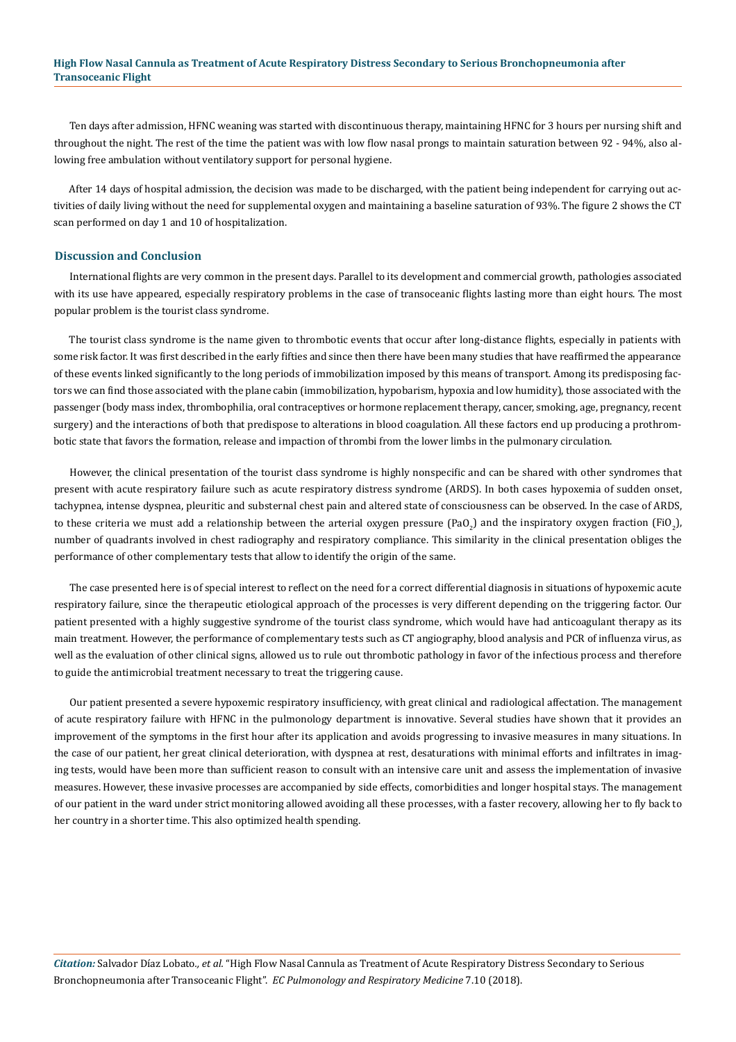Ten days after admission, HFNC weaning was started with discontinuous therapy, maintaining HFNC for 3 hours per nursing shift and throughout the night. The rest of the time the patient was with low flow nasal prongs to maintain saturation between 92 - 94%, also allowing free ambulation without ventilatory support for personal hygiene.

After 14 days of hospital admission, the decision was made to be discharged, with the patient being independent for carrying out activities of daily living without the need for supplemental oxygen and maintaining a baseline saturation of 93%. The figure 2 shows the CT scan performed on day 1 and 10 of hospitalization.

#### **Discussion and Conclusion**

International flights are very common in the present days. Parallel to its development and commercial growth, pathologies associated with its use have appeared, especially respiratory problems in the case of transoceanic flights lasting more than eight hours. The most popular problem is the tourist class syndrome.

The tourist class syndrome is the name given to thrombotic events that occur after long-distance flights, especially in patients with some risk factor. It was first described in the early fifties and since then there have been many studies that have reaffirmed the appearance of these events linked significantly to the long periods of immobilization imposed by this means of transport. Among its predisposing factors we can find those associated with the plane cabin (immobilization, hypobarism, hypoxia and low humidity), those associated with the passenger (body mass index, thrombophilia, oral contraceptives or hormone replacement therapy, cancer, smoking, age, pregnancy, recent surgery) and the interactions of both that predispose to alterations in blood coagulation. All these factors end up producing a prothrombotic state that favors the formation, release and impaction of thrombi from the lower limbs in the pulmonary circulation.

However, the clinical presentation of the tourist class syndrome is highly nonspecific and can be shared with other syndromes that present with acute respiratory failure such as acute respiratory distress syndrome (ARDS). In both cases hypoxemia of sudden onset, tachypnea, intense dyspnea, pleuritic and substernal chest pain and altered state of consciousness can be observed. In the case of ARDS, to these criteria we must add a relationship between the arterial oxygen pressure (PaO<sub>2</sub>) and the inspiratory oxygen fraction (FiO<sub>2</sub>), number of quadrants involved in chest radiography and respiratory compliance. This similarity in the clinical presentation obliges the performance of other complementary tests that allow to identify the origin of the same.

The case presented here is of special interest to reflect on the need for a correct differential diagnosis in situations of hypoxemic acute respiratory failure, since the therapeutic etiological approach of the processes is very different depending on the triggering factor. Our patient presented with a highly suggestive syndrome of the tourist class syndrome, which would have had anticoagulant therapy as its main treatment. However, the performance of complementary tests such as CT angiography, blood analysis and PCR of influenza virus, as well as the evaluation of other clinical signs, allowed us to rule out thrombotic pathology in favor of the infectious process and therefore to guide the antimicrobial treatment necessary to treat the triggering cause.

Our patient presented a severe hypoxemic respiratory insufficiency, with great clinical and radiological affectation. The management of acute respiratory failure with HFNC in the pulmonology department is innovative. Several studies have shown that it provides an improvement of the symptoms in the first hour after its application and avoids progressing to invasive measures in many situations. In the case of our patient, her great clinical deterioration, with dyspnea at rest, desaturations with minimal efforts and infiltrates in imaging tests, would have been more than sufficient reason to consult with an intensive care unit and assess the implementation of invasive measures. However, these invasive processes are accompanied by side effects, comorbidities and longer hospital stays. The management of our patient in the ward under strict monitoring allowed avoiding all these processes, with a faster recovery, allowing her to fly back to her country in a shorter time. This also optimized health spending.